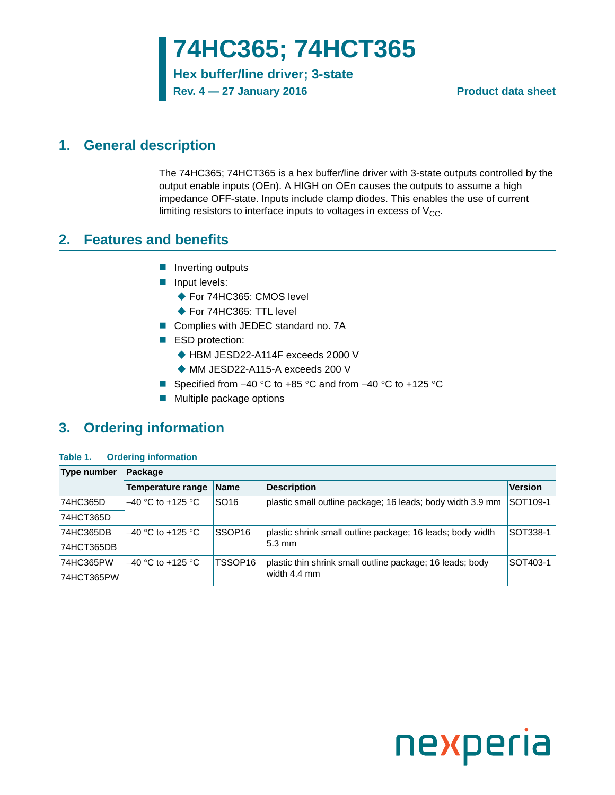## **74HC365; 74HCT365**

**Hex buffer/line driver; 3-state**

**Rev. 4 — 27 January 2016 Product data sheet**

## <span id="page-0-0"></span>**1. General description**

The 74HC365; 74HCT365 is a hex buffer/line driver with 3-state outputs controlled by the output enable inputs (OEn). A HIGH on OEn causes the outputs to assume a high impedance OFF-state. Inputs include clamp diodes. This enables the use of current limiting resistors to interface inputs to voltages in excess of  $V_{CC}$ .

## <span id="page-0-1"></span>**2. Features and benefits**

- $\blacksquare$  Inverting outputs
- **Input levels:** 
	- ◆ For 74HC365: CMOS level
	- ◆ For 74HC365: TTL level
- Complies with JEDEC standard no. 7A
- ESD protection:
	- ◆ HBM JESD22-A114F exceeds 2000 V
	- MM JESD22-A115-A exceeds 200 V
- Specified from  $-40$  °C to  $+85$  °C and from  $-40$  °C to  $+125$  °C
- **Multiple package options**

## <span id="page-0-2"></span>**3. Ordering information**

#### **Table 1. Ordering information**

| <b>Type number</b> | Package                                                                                               |                    |                                                            |                |
|--------------------|-------------------------------------------------------------------------------------------------------|--------------------|------------------------------------------------------------|----------------|
|                    | Temperature range                                                                                     | <b>Name</b>        | <b>Description</b>                                         | <b>Version</b> |
| 74HC365D           | $-40$ °C to +125 °C<br>SO <sub>16</sub><br>plastic small outline package; 16 leads; body width 3.9 mm |                    | SOT109-1                                                   |                |
| 74HCT365D          |                                                                                                       |                    |                                                            |                |
| 74HC365DB          | $-40$ °C to +125 °C                                                                                   | SSOP <sub>16</sub> | plastic shrink small outline package; 16 leads; body width |                |
| 74HCT365DB         |                                                                                                       |                    | $5.3 \text{ mm}$                                           |                |
| 74HC365PW          | $-40$ °C to +125 °C                                                                                   | TSSOP16            | plastic thin shrink small outline package; 16 leads; body  | SOT403-1       |
| 74HCT365PW         |                                                                                                       |                    | width 4.4 mm                                               |                |

# nexperia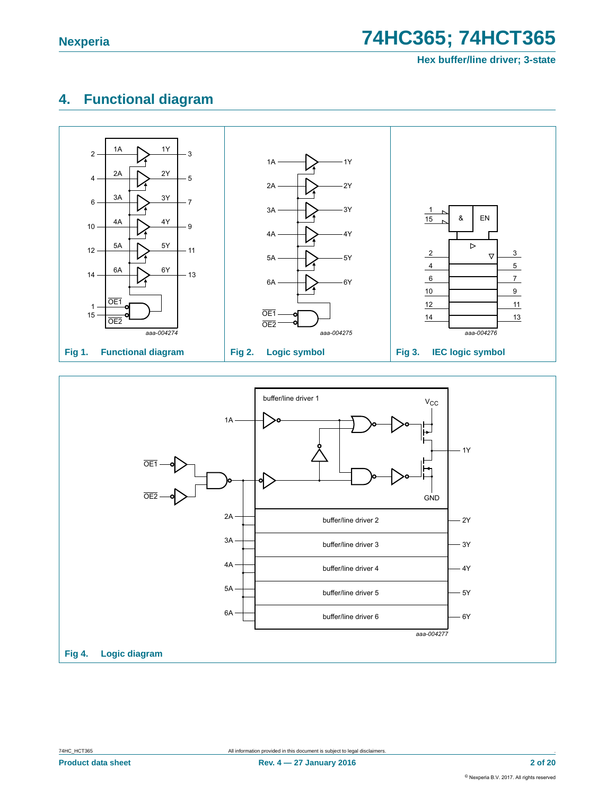## <span id="page-1-0"></span>**4. Functional diagram**



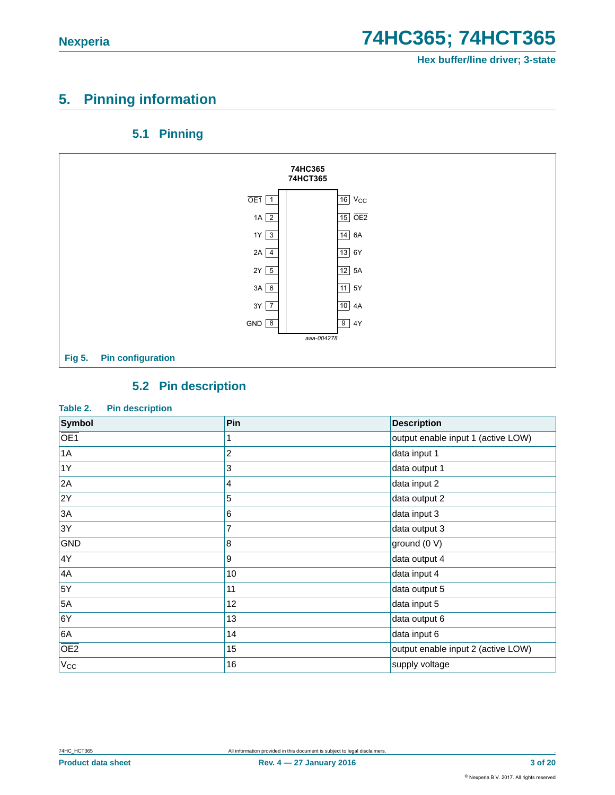## <span id="page-2-0"></span>**5. Pinning information**

### **5.1 Pinning**

<span id="page-2-1"></span>

### **5.2 Pin description**

#### <span id="page-2-2"></span>**Table 2. Pin description**

| Symbol          | Pin | <b>Description</b>                 |
|-----------------|-----|------------------------------------|
| OE <sub>1</sub> |     | output enable input 1 (active LOW) |
| 1A              | 2   | data input 1                       |
| 1Y              | 3   | data output 1                      |
| 2A              | 4   | data input 2                       |
| 2Y              | 5   | data output 2                      |
| 3A              | 6   | data input 3                       |
| 3Y              | 7   | data output 3                      |
| <b>GND</b>      | 8   | ground (0 V)                       |
| 4Y              | 9   | data output 4                      |
| 4A              | 10  | data input 4                       |
| 5Y              | 11  | data output 5                      |
| 5A              | 12  | data input 5                       |
| 6Y              | 13  | data output 6                      |
| 6A              | 14  | data input 6                       |
| OE2             | 15  | output enable input 2 (active LOW) |
| $V_{CC}$        | 16  | supply voltage                     |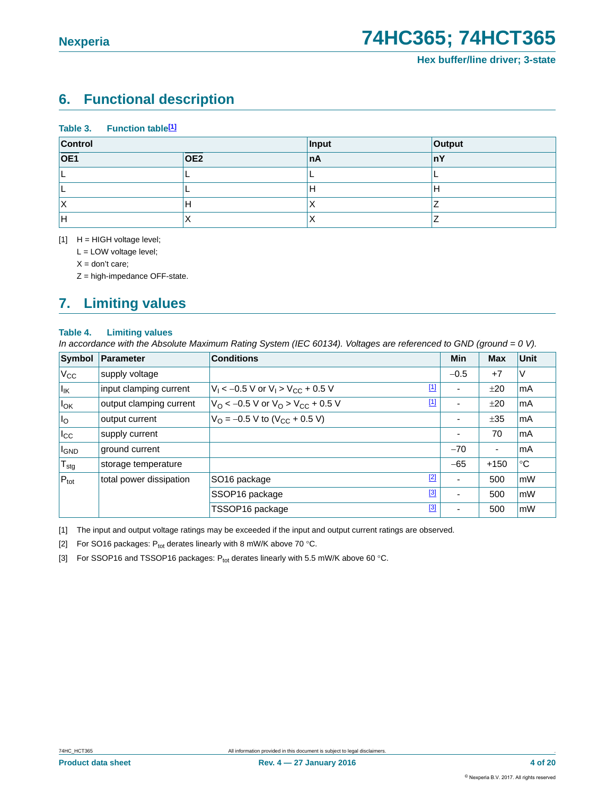## <span id="page-3-4"></span>**6. Functional description**

**Table 3. Function table[\[1\]](#page-3-0)**

| Control          |                  | Input | Output |
|------------------|------------------|-------|--------|
| $\overline{OE1}$ | $\overline{OE2}$ | ∣nA   | ∣nY    |
|                  |                  |       |        |
|                  |                  | н     | н      |
| $\lambda$        | H                | ∧     |        |
| H                | $\lambda$        | ↗     |        |

<span id="page-3-0"></span> $[1]$  H = HIGH voltage level;

L = LOW voltage level;

 $X =$  don't care;

Z = high-impedance OFF-state.

## <span id="page-3-5"></span>**7. Limiting values**

#### **Table 4. Limiting values**

*In accordance with the Absolute Maximum Rating System (IEC 60134). Voltages are referenced to GND (ground = 0 V).*

| Symbol           | Parameter               | <b>Conditions</b>                                            | Min                      | <b>Max</b> | Unit |
|------------------|-------------------------|--------------------------------------------------------------|--------------------------|------------|------|
| $V_{\rm CC}$     | supply voltage          |                                                              | $-0.5$                   | $+7$       | V    |
| lικ              | input clamping current  | $[1]$<br>$V_1 < -0.5$ V or $V_1 > V_{CC} + 0.5$ V            | ٠                        | ±20        | lmA  |
| $I_{OK}$         | output clamping current | $[1]$<br>$V_O < -0.5$ V or $V_O > V_{CC} + 0.5$ V            | $\overline{\phantom{0}}$ | ±20        | lmA  |
| $I_{\rm O}$      | output current          | $V_{\text{O}} = -0.5 \text{ V}$ to (V <sub>CC</sub> + 0.5 V) | $\overline{\phantom{0}}$ | ±35        | lmA  |
| $I_{\rm CC}$     | supply current          |                                                              | $\blacksquare$           | 70         | lmA  |
| <b>I</b> GND     | ground current          |                                                              | $-70$                    | -          | lmA  |
| $T_{\text{stg}}$ | storage temperature     |                                                              | $-65$                    | $+150$     | ∣°C  |
| $P_{\text{tot}}$ | total power dissipation | $[2]$<br>SO <sub>16</sub> package                            | ۰                        | 500        | mW   |
|                  |                         | $[3]$<br>SSOP16 package                                      | ٠                        | 500        | mW   |
|                  |                         | $[3]$<br>TSSOP16 package                                     | ۰                        | 500        | mW   |

<span id="page-3-3"></span>[1] The input and output voltage ratings may be exceeded if the input and output current ratings are observed.

<span id="page-3-2"></span>[2] For SO16 packages:  $P_{tot}$  derates linearly with 8 mW/K above 70 °C.

<span id="page-3-1"></span>[3] For SSOP16 and TSSOP16 packages:  $P_{tot}$  derates linearly with 5.5 mW/K above 60 °C.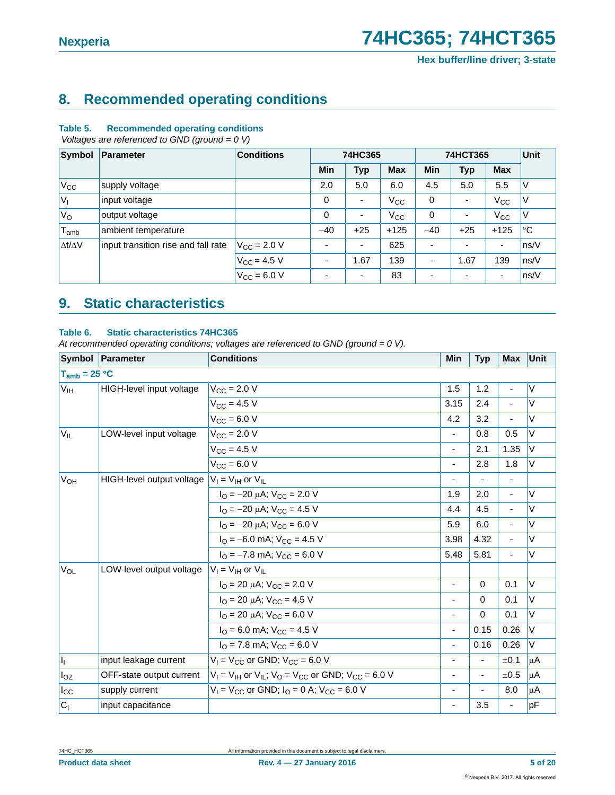## <span id="page-4-0"></span>**8. Recommended operating conditions**

#### **Table 5. Recommended operating conditions**

 *Voltages are referenced to GND (ground = 0 V)*

| Symbol              | Parameter                           | <b>Conditions</b>    | 74HC365<br>74HCT365      |                          | <b>Unit</b>  |                          |            |                          |             |
|---------------------|-------------------------------------|----------------------|--------------------------|--------------------------|--------------|--------------------------|------------|--------------------------|-------------|
|                     |                                     |                      | <b>Min</b>               | <b>Typ</b>               | <b>Max</b>   | Min                      | <b>Typ</b> | <b>Max</b>               |             |
| $V_{CC}$            | supply voltage                      |                      | 2.0                      | 5.0                      | 6.0          | 4.5                      | 5.0        | 5.5                      | ٧           |
| $V_{1}$             | input voltage                       |                      | 0                        | $\overline{\phantom{a}}$ | $V_{\rm CC}$ | 0                        | ٠          | $V_{\rm CC}$             | V           |
| $V_{\rm O}$         | output voltage                      |                      | 0                        | $\overline{\phantom{a}}$ | $V_{\rm CC}$ | 0                        | ٠          | $V_{\rm CC}$             | ٧           |
| $T_{amb}$           | ambient temperature                 |                      | $-40$                    | $+25$                    | $+125$       | $-40$                    | $+25$      | $+125$                   | $^{\circ}C$ |
| $\Delta t/\Delta V$ | input transition rise and fall rate | $V_{\rm CC}$ = 2.0 V | ٠                        | $\overline{\phantom{a}}$ | 625          | $\overline{\phantom{a}}$ | ٠          | ٠                        | ns/V        |
|                     |                                     | $V_{\rm CC} = 4.5 V$ | $\overline{\phantom{a}}$ | 1.67                     | 139          | $\overline{\phantom{a}}$ | 1.67       | 139                      | ns/V        |
|                     |                                     | $V_{\rm CC} = 6.0 V$ | ٠                        | $\overline{\phantom{a}}$ | 83           | $\overline{\phantom{0}}$ | ٠          | $\overline{\phantom{a}}$ | ns/V        |

## <span id="page-4-1"></span>**9. Static characteristics**

#### **Table 6. Static characteristics 74HC365**

|                   | Symbol   Parameter                                                  | <b>Conditions</b>                                                      | Min                      | <b>Typ</b> | <b>Max</b>                   | <b>Unit</b> |
|-------------------|---------------------------------------------------------------------|------------------------------------------------------------------------|--------------------------|------------|------------------------------|-------------|
| $T_{amb}$ = 25 °C |                                                                     |                                                                        |                          |            |                              |             |
| V <sub>IH</sub>   | HIGH-level input voltage                                            | $V_{\rm CC}$ = 2.0 V                                                   | 1.5                      | 1.2        | $\overline{\phantom{a}}$     | $\vee$      |
|                   |                                                                     | $V_{CC}$ = 4.5 V                                                       | 3.15                     | 2.4        | $\overline{a}$               | V           |
|                   |                                                                     | $V_{CC} = 6.0 V$                                                       | 4.2                      | 3.2        | ä,                           | $\vee$      |
| $V_{IL}$          | LOW-level input voltage                                             | $V_{CC}$ = 2.0 V                                                       | ٠                        | 0.8        | 0.5                          | V           |
|                   |                                                                     | $V_{CC} = 4.5 V$                                                       | $\overline{\phantom{m}}$ | 2.1        | 1.35                         | V           |
|                   |                                                                     | $V_{CC} = 6.0 V$                                                       | ä,                       | 2.8        | 1.8                          | V           |
| V <sub>OH</sub>   | HIGH-level output voltage $ V_1 = V_{\text{IH}}$ or $V_{\text{IL}}$ |                                                                        | ä,                       |            | $\qquad \qquad \blacksquare$ |             |
|                   |                                                                     | $I_{\Omega}$ = -20 $\mu$ A; V <sub>CC</sub> = 2.0 V                    | 1.9                      | 2.0        | $\overline{\phantom{a}}$     | V           |
|                   |                                                                     | $I_{\Omega}$ = -20 $\mu$ A; V <sub>CC</sub> = 4.5 V                    | 4.4                      | 4.5        | ÷,                           | V           |
|                   |                                                                     | $I_{\Omega}$ = -20 $\mu$ A; V <sub>CC</sub> = 6.0 V                    | 5.9                      | 6.0        | $\overline{a}$               | V           |
|                   |                                                                     | $I_{\Omega}$ = -6.0 mA; $V_{\text{CC}}$ = 4.5 V                        | 3.98                     | 4.32       | ä,                           | $\vee$      |
|                   |                                                                     | $I_{\Omega}$ = -7.8 mA; $V_{\text{CC}}$ = 6.0 V                        | 5.48                     | 5.81       | ä,                           | $\vee$      |
| $V_{OL}$          | LOW-level output voltage                                            | $V_1 = V_{\text{IH}}$ or $V_{\text{IL}}$                               |                          |            |                              |             |
|                   |                                                                     | $I_{\Omega}$ = 20 µA; $V_{\text{CC}}$ = 2.0 V                          | $\overline{\phantom{a}}$ | $\Omega$   | 0.1                          | V           |
|                   |                                                                     | $I_{\Omega}$ = 20 µA; $V_{\text{CC}}$ = 4.5 V                          | ä,                       | $\Omega$   | 0.1                          | V           |
|                   |                                                                     | $I_{\Omega}$ = 20 µA; $V_{\text{CC}}$ = 6.0 V                          | $\overline{\phantom{a}}$ | $\Omega$   | 0.1                          | V           |
|                   |                                                                     | $IO$ = 6.0 mA; $VCC$ = 4.5 V                                           | ÷,                       | 0.15       | 0.26                         | V           |
|                   |                                                                     | $IO$ = 7.8 mA; $VCC$ = 6.0 V                                           | $\overline{\phantom{a}}$ | 0.16       | 0.26                         | V           |
| h,                | input leakage current                                               | $V_1 = V_{CC}$ or GND; $V_{CC} = 6.0$ V                                | $\blacksquare$           |            | ±0.1                         | μA          |
| $I_{OZ}$          | OFF-state output current                                            | $V_1 = V_{1H}$ or $V_{1L}$ ; $V_{O} = V_{CC}$ or GND; $V_{CC} = 6.0$ V | $\blacksquare$           |            | ±0.5                         | μA          |
| $I_{\rm CC}$      | supply current                                                      | $V_1 = V_{CC}$ or GND; $I_0 = 0$ A; $V_{CC} = 6.0$ V                   | $\overline{\phantom{a}}$ |            | 8.0                          | μA          |
| C <sub>1</sub>    | input capacitance                                                   |                                                                        | $\overline{\phantom{a}}$ | 3.5        | $\blacksquare$               | pF          |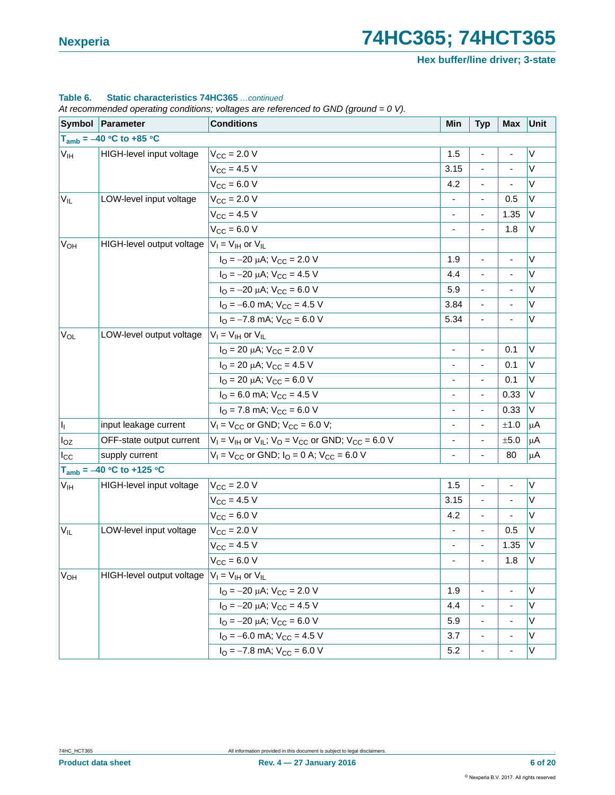**Hex buffer/line driver; 3-state**

#### **Table 6. Static characteristics 74HC365** *…continued*

|                 | Symbol   Parameter            | <b>Conditions</b>                                                      | Min                          | <b>Typ</b>               | Max                      | Unit        |
|-----------------|-------------------------------|------------------------------------------------------------------------|------------------------------|--------------------------|--------------------------|-------------|
|                 | $T_{amb} = -40 °C$ to +85 °C  |                                                                        |                              |                          |                          |             |
| $V_{\text{IH}}$ | HIGH-level input voltage      | $V_{CC}$ = 2.0 V                                                       | 1.5                          | ۰                        | $\overline{\phantom{0}}$ | V           |
|                 |                               | $V_{CC} = 4.5 V$                                                       | 3.15                         |                          | $\overline{a}$           | $\vee$      |
|                 |                               | $V_{CC} = 6.0 V$                                                       | 4.2                          | ٠                        | $\blacksquare$           | V           |
| $V_{IL}$        | LOW-level input voltage       | $V_{CC}$ = 2.0 V                                                       | ä,                           |                          | 0.5                      | V           |
|                 |                               | $V_{CC} = 4.5 V$                                                       | $\qquad \qquad \blacksquare$ | $\overline{\phantom{a}}$ | 1.35                     | V           |
|                 |                               | $V_{CC}$ = 6.0 V                                                       |                              | $\overline{\phantom{0}}$ | 1.8                      | V           |
| $V_{OH}$        | HIGH-level output voltage     | $V_1 = V_{1H}$ or $V_{1L}$                                             |                              |                          |                          |             |
|                 |                               | $I_{\text{O}} = -20 \mu\text{A}$ ; $V_{\text{CC}} = 2.0 \text{ V}$     | 1.9                          | ÷.                       | ÷,                       | $\vee$      |
|                 |                               | $I_{\text{O}} = -20 \mu\text{A}$ ; $V_{\text{CC}} = 4.5 \text{ V}$     | 4.4                          | ٠                        | $\blacksquare$           | V           |
|                 |                               | $I_{\text{O}} = -20 \mu\text{A}$ ; $V_{\text{CC}} = 6.0 \text{ V}$     | 5.9                          | $\blacksquare$           | ä,                       | V           |
|                 |                               | $I_{\Omega}$ = -6.0 mA; $V_{\text{CC}}$ = 4.5 V                        | 3.84                         | ٠                        | $\blacksquare$           | V           |
|                 |                               | $I_{\text{O}} = -7.8$ mA; $V_{\text{CC}} = 6.0$ V                      | 5.34                         |                          |                          | V           |
| $V_{OL}$        | LOW-level output voltage      | $V_I = V_{IH}$ or $V_{IL}$                                             |                              |                          |                          |             |
|                 |                               | $I_{\text{O}}$ = 20 µA; $V_{\text{CC}}$ = 2.0 V                        | ä,                           | $\frac{1}{2}$            | 0.1                      | $\vee$      |
|                 |                               | $I_{\text{O}}$ = 20 µA; $V_{\text{CC}}$ = 4.5 V                        | $\blacksquare$               | -                        | 0.1                      | V           |
|                 |                               | $I_{\text{O}}$ = 20 µA; $V_{\text{CC}}$ = 6.0 V                        | ÷,                           |                          | 0.1                      | V           |
|                 |                               | $IO$ = 6.0 mA; $VCC$ = 4.5 V                                           | $\qquad \qquad \blacksquare$ | $\overline{\phantom{a}}$ | 0.33                     | V           |
|                 |                               | $IO$ = 7.8 mA; $VCC$ = 6.0 V                                           |                              |                          | 0.33                     | V           |
| h,              | input leakage current         | $V_1 = V_{CC}$ or GND; $V_{CC} = 6.0$ V;                               | $\overline{\phantom{0}}$     | $\frac{1}{2}$            | ±1.0                     | $\mu$ A     |
| $I_{OZ}$        | OFF-state output current      | $V_1 = V_{1H}$ or $V_{1L}$ ; $V_{O} = V_{CC}$ or GND; $V_{CC} = 6.0$ V | ÷,                           |                          | $\pm 5.0$                | $\mu$ A     |
| $I_{\rm CC}$    | supply current                | $V_1 = V_{CC}$ or GND; $I_0 = 0$ A; $V_{CC} = 6.0$ V                   | $\overline{\phantom{m}}$     | $\blacksquare$           | 80                       | $\mu$ A     |
|                 | $T_{amb} = -40 °C$ to +125 °C |                                                                        |                              |                          |                          |             |
| V <sub>IH</sub> | HIGH-level input voltage      | $V_{\text{CC}} = 2.0 V$                                                | 1.5                          | ٠                        | $\overline{\phantom{a}}$ | V           |
|                 |                               | $V_{CC} = 4.5 V$                                                       | 3.15                         |                          |                          | $\vee$      |
|                 |                               | $V_{CC} = 6.0 V$                                                       | 4.2                          | $\overline{\phantom{a}}$ | ÷                        | V           |
| $V_{IL}$        | LOW-level input voltage       | $V_{CC} = 2.0 V$                                                       | ä,                           | $\blacksquare$           | 0.5                      | $\vee$      |
|                 |                               | $V_{CC} = 4.5 V$                                                       | $\blacksquare$               | $\overline{\phantom{0}}$ | 1.35                     | V           |
|                 |                               | $V_{CC} = 6.0 V$                                                       | ÷,                           | $\blacksquare$           | 1.8                      | V           |
| V <sub>OH</sub> | HIGH-level output voltage     | $V_I = V_{IH}$ or $V_{IL}$                                             |                              |                          |                          |             |
|                 |                               | $I_{\text{O}} = -20 \mu\text{A}$ ; $V_{\text{CC}} = 2.0 \text{ V}$     | 1.9                          |                          | $\overline{\phantom{0}}$ | V           |
|                 |                               | $I_{\text{O}} = -20 \mu\text{A}$ ; $V_{\text{CC}} = 4.5 \text{ V}$     | 4.4                          | ۰                        | $\overline{\phantom{a}}$ | V           |
|                 |                               | $I_{\text{O}} = -20 \mu\text{A}$ ; $V_{\text{CC}} = 6.0 \text{ V}$     | 5.9                          | $\overline{\phantom{0}}$ | $\overline{a}$           | $\mathsf V$ |
|                 |                               | $I_{\text{O}} = -6.0$ mA; $V_{\text{CC}} = 4.5$ V                      | 3.7                          | ۰                        | $\blacksquare$           | V           |
|                 |                               | $IO = -7.8$ mA; $VCC = 6.0$ V                                          | 5.2                          | ۰                        |                          | $\sf V$     |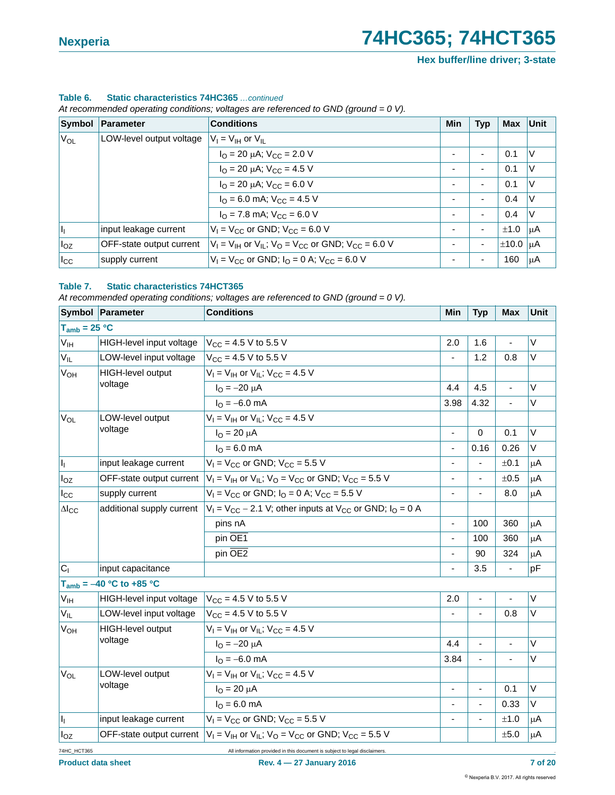**Hex buffer/line driver; 3-state**

#### **Table 6. Static characteristics 74HC365** *…continued*

*At recommended operating conditions; voltages are referenced to GND (ground = 0 V).*

| Symbol       | Parameter                | <b>Conditions</b>                                                      | <b>Min</b>     | <b>Typ</b>               | <b>Max</b>         | Unit |
|--------------|--------------------------|------------------------------------------------------------------------|----------------|--------------------------|--------------------|------|
| $V_{OL}$     | LOW-level output voltage | $V_1 = V_{1H}$ or $V_{1I}$                                             |                |                          |                    |      |
|              |                          | $I_{\Omega}$ = 20 µA; $V_{\text{CC}}$ = 2.0 V                          | ٠              | $\overline{\phantom{0}}$ | 0.1                | V    |
|              |                          | $I_{\Omega}$ = 20 µA; $V_{\text{CC}}$ = 4.5 V                          | ٠              | ۰.                       | 0.1                | ٧    |
|              |                          | $I_{\text{O}}$ = 20 µA; $V_{\text{CC}}$ = 6.0 V                        | $\blacksquare$ |                          | 0.1                | ٧    |
|              |                          | $I_{\Omega}$ = 6.0 mA; $V_{\text{CC}}$ = 4.5 V                         | ٠              | $\blacksquare$           | 0.4                | ٧    |
|              |                          | $IO$ = 7.8 mA; $VCC$ = 6.0 V                                           | ٠              | $\overline{\phantom{0}}$ | 0.4                | V    |
| $\vert I_1$  | input leakage current    | $V_1 = V_{CC}$ or GND; $V_{CC} = 6.0$ V                                | -              | $\overline{\phantom{0}}$ | ±1.0               | μA   |
| $I_{OZ}$     | OFF-state output current | $V_1 = V_{1H}$ or $V_{1L}$ ; $V_{O} = V_{CC}$ or GND; $V_{CC} = 6.0$ V | ٠              | $\blacksquare$           | $\pm 10.0$ $\mu$ A |      |
| $I_{\rm CC}$ | supply current           | $V_1 = V_{CC}$ or GND; $I_Q = 0$ A; $V_{CC} = 6.0$ V                   | -              |                          | 160                | μA   |

#### **Table 7. Static characteristics 74HCT365**

|                         | Symbol Parameter             | <b>Conditions</b>                                                      | Min                      | <b>Typ</b>               | <b>Max</b>               | Unit    |
|-------------------------|------------------------------|------------------------------------------------------------------------|--------------------------|--------------------------|--------------------------|---------|
| $T_{amb}$ = 25 °C       |                              |                                                                        |                          |                          |                          |         |
| V <sub>IH</sub>         | HIGH-level input voltage     | $V_{CC}$ = 4.5 V to 5.5 V                                              | 2.0                      | 1.6                      | ä,                       | V       |
| $V_{IL}$                | LOW-level input voltage      | $V_{CC}$ = 4.5 V to 5.5 V                                              |                          | 1.2                      | 0.8                      | $\vee$  |
| V <sub>OH</sub>         | <b>HIGH-level output</b>     | $V_1 = V_{1H}$ or $V_{1L}$ ; $V_{CC} = 4.5$ V                          |                          |                          |                          |         |
|                         | voltage                      | $I_{\rm O} = -20 \mu A$                                                | 4.4                      | 4.5                      |                          | $\vee$  |
|                         |                              | $I_{\Omega} = -6.0$ mA                                                 | 3.98                     | 4.32                     | L.                       | $\vee$  |
| <b>V<sub>OL</sub></b>   | LOW-level output             | $V_1 = V_{1H}$ or $V_{1L}$ ; $V_{CC} = 4.5$ V                          |                          |                          |                          |         |
|                         | voltage                      | $I_{\Omega} = 20 \mu A$                                                | ä,                       | $\Omega$                 | 0.1                      | $\vee$  |
|                         |                              | $I_{\rm O}$ = 6.0 mA                                                   | ä,                       | 0.16                     | 0.26                     | V       |
| $\mathsf{I}_\mathrm{I}$ | input leakage current        | $V_1 = V_{CC}$ or GND; $V_{CC} = 5.5$ V                                | $\overline{\phantom{0}}$ |                          | ±0.1                     | μA      |
| $I_{OZ}$                | OFF-state output current     | $V_I = V_{IH}$ or $V_{IL}$ ; $V_O = V_{CC}$ or GND; $V_{CC} = 5.5$ V   | ٠                        |                          | ±0.5                     | $\mu$ A |
| $I_{\rm CC}$            | supply current               | $V_1 = V_{CC}$ or GND; $I_0 = 0$ A; $V_{CC} = 5.5$ V                   |                          |                          | 8.0                      | $\mu$ A |
| $\Delta$ <sub>cc</sub>  | additional supply current    | $V_1 = V_{CC} - 2.1$ V; other inputs at $V_{CC}$ or GND; $I_0 = 0$ A   |                          |                          |                          |         |
|                         |                              | pins nA                                                                | ä,                       | 100                      | 360                      | μA      |
|                         |                              | pin OE1                                                                | ä,                       | 100                      | 360                      | μA      |
|                         |                              | pin OE2                                                                |                          | 90                       | 324                      | μA      |
| C <sub>1</sub>          | input capacitance            |                                                                        |                          | 3.5                      |                          | pF      |
|                         | $T_{amb} = -40 °C$ to +85 °C |                                                                        |                          |                          |                          |         |
| V <sub>IH</sub>         | HIGH-level input voltage     | $V_{CC}$ = 4.5 V to 5.5 V                                              | 2.0                      |                          |                          | V       |
| $V_{IL}$                | LOW-level input voltage      | $V_{\text{CC}} = 4.5 \text{ V}$ to 5.5 V                               | ÷,                       | $\overline{\phantom{m}}$ | 0.8                      | V       |
| <b>V<sub>OH</sub></b>   | HIGH-level output            | $V_1 = V_{1H}$ or $V_{1I}$ ; $V_{CC} = 4.5$ V                          |                          |                          |                          |         |
|                         | voltage                      | $I_{\rm O} = -20 \mu A$                                                | 4.4                      | ÷,                       | $\overline{\phantom{a}}$ | V       |
|                         |                              | $I_{\text{O}} = -6.0 \text{ mA}$                                       | 3.84                     |                          |                          | $\vee$  |
| <b>V<sub>OL</sub></b>   | LOW-level output             | $V_1 = V_{1H}$ or $V_{1L}$ ; $V_{CC} = 4.5$ V                          |                          |                          |                          |         |
|                         | voltage                      | $I_{\rm O} = 20 \mu A$                                                 | ÷,                       |                          | 0.1                      | $\vee$  |
|                         |                              | $I_{\text{O}} = 6.0 \text{ mA}$                                        | ä,                       |                          | 0.33                     | V       |
| Ij.                     | input leakage current        | $V_1 = V_{CC}$ or GND; $V_{CC} = 5.5$ V                                | $\overline{\phantom{0}}$ |                          | ±1.0                     | μA      |
| $I_{OZ}$                | OFF-state output current     | $V_1 = V_{1H}$ or $V_{1L}$ ; $V_{O} = V_{CC}$ or GND; $V_{CC} = 5.5$ V |                          |                          | $\pm 5.0$                | $\mu$ A |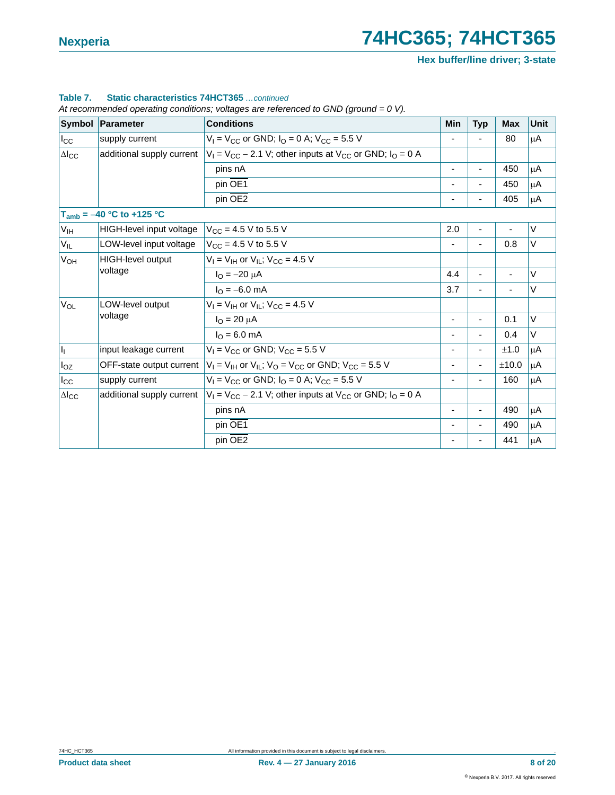**Hex buffer/line driver; 3-state**

#### **Table 7. Static characteristics 74HCT365** *…continued*

|                   | Symbol   Parameter            | <b>Conditions</b>                                                                                | <b>Min</b>                   | <b>Typ</b>     | <b>Max</b> | Unit   |
|-------------------|-------------------------------|--------------------------------------------------------------------------------------------------|------------------------------|----------------|------------|--------|
| $I_{\rm CC}$      | supply current                | $V_1 = V_{CC}$ or GND; $I_0 = 0$ A; $V_{CC} = 5.5$ V                                             |                              |                | 80         | μA     |
| $\Delta I_{CC}$   | additional supply current     | $V_1 = V_{CC} - 2.1$ V; other inputs at $V_{CC}$ or GND; $I_0 = 0$ A                             |                              |                |            |        |
|                   |                               | pins nA                                                                                          | ٠                            | $\blacksquare$ | 450        | μA     |
|                   |                               | pin OE1                                                                                          |                              |                | 450        | μA     |
|                   |                               | pin OE <sub>2</sub>                                                                              |                              |                | 405        | μA     |
|                   | $T_{amb} = -40 °C$ to +125 °C |                                                                                                  |                              |                |            |        |
| V <sub>IH</sub>   | HIGH-level input voltage      | $V_{CC}$ = 4.5 V to 5.5 V                                                                        | 2.0                          | ä,             |            | $\vee$ |
| $V_{IL}$          | LOW-level input voltage       | $V_{\text{CC}} = 4.5 \text{ V}$ to 5.5 V                                                         |                              |                | 0.8        | V      |
| $V_{OH}$          | HIGH-level output<br>voltage  | $V_1 = V_{1H}$ or $V_{1L}$ ; $V_{CC} = 4.5$ V                                                    |                              |                |            |        |
|                   |                               | $I_{\Omega} = -20 \mu A$                                                                         | 4.4                          |                |            | $\vee$ |
|                   |                               | $I_{\Omega} = -6.0$ mA                                                                           | 3.7                          | ٠              | ä,         | V      |
| $V_{OL}$          | LOW-level output              | $V_1 = V_{1H}$ or $V_{1L}$ ; $V_{CC} = 4.5$ V                                                    |                              |                |            |        |
|                   | voltage                       | $I_{\Omega} = 20 \mu A$                                                                          | $\qquad \qquad \blacksquare$ | ٠              | 0.1        | $\vee$ |
|                   |                               | $I_{\text{O}} = 6.0 \text{ mA}$                                                                  |                              |                | 0.4        | V      |
| $\vert I_1 \vert$ | input leakage current         | $V_1 = V_{CC}$ or GND; $V_{CC} = 5.5$ V                                                          |                              |                | ±1.0       | μA     |
| $I_{OZ}$          |                               | OFF-state output current $ V_1 = V_{1H}$ or $V_{1I}$ ; $V_{0} = V_{CC}$ or GND; $V_{CC} = 5.5$ V |                              | ٠              | ±10.0      | μA     |
| $I_{\rm CC}$      | supply current                | $V_1 = V_{CC}$ or GND; $I_0 = 0$ A; $V_{CC} = 5.5$ V                                             | $\overline{\phantom{a}}$     |                | 160        | μA     |
| $\Delta I_{CC}$   | additional supply current     | $V_1 = V_{CC} - 2.1$ V; other inputs at $V_{CC}$ or GND; $I_0 = 0$ A                             |                              |                |            |        |
|                   |                               | pins nA                                                                                          | ٠                            |                | 490        | μA     |
|                   |                               | pin OE1                                                                                          | ٠                            | $\blacksquare$ | 490        | μA     |
|                   |                               | pin OE <sub>2</sub>                                                                              | ٠                            | ٠              | 441        | μA     |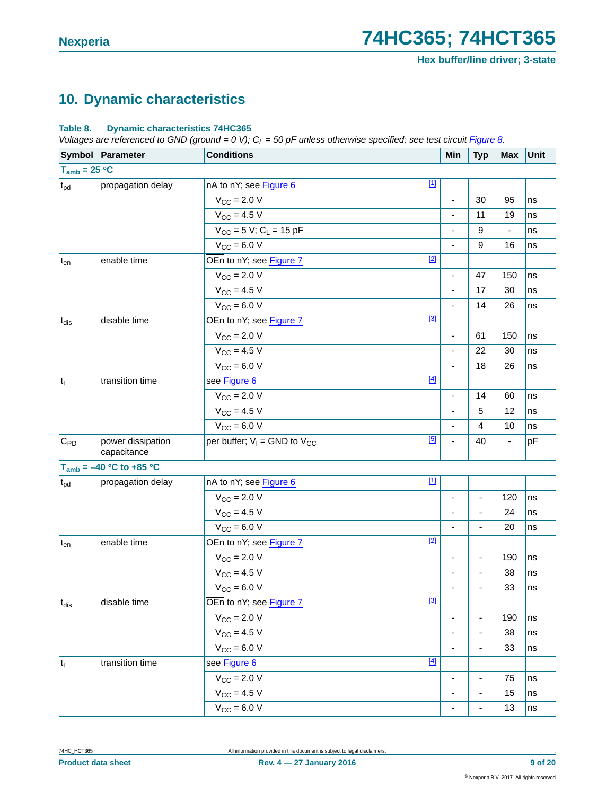## <span id="page-8-0"></span>**10. Dynamic characteristics**

#### **Table 8. Dynamic characteristics 74HC365**

*Voltages are referenced to GND (ground = 0 V); C<sub>L</sub> = 50 pF unless otherwise specified; see test circuit [Figure 8](#page-12-0).* 

|                     | Symbol Parameter                 | <b>Conditions</b>                            | Min                          | <b>Typ</b> | <b>Max</b>               | Unit |
|---------------------|----------------------------------|----------------------------------------------|------------------------------|------------|--------------------------|------|
| $T_{amb} = 25 °C$   |                                  |                                              |                              |            |                          |      |
| $ t_{\textrm{pd}} $ | propagation delay                | $[1]$<br>nA to nY; see Figure 6              |                              |            |                          |      |
|                     |                                  | $V_{CC} = 2.0 V$                             | ÷,                           | 30         | 95                       | ns   |
|                     |                                  | $V_{\text{CC}} = 4.5 V$                      |                              | 11         | 19                       | ns   |
|                     |                                  | $V_{CC}$ = 5 V; C <sub>L</sub> = 15 pF       |                              | 9          |                          | ns   |
|                     |                                  | $V_{CC} = 6.0 V$                             | ÷,                           | 9          | 16                       | ns   |
| $t_{en}$            | enable time                      | $[2]$<br>OEn to nY; see Figure 7             |                              |            |                          |      |
|                     |                                  | $V_{CC} = 2.0 V$                             | $\blacksquare$               | 47         | 150                      | ns   |
|                     |                                  | $V_{CC}$ = 4.5 V                             | ÷,                           | 17         | 30                       | ns   |
|                     |                                  | $V_{CC} = 6.0 V$                             | ÷,                           | 14         | 26                       | ns   |
| $t_{dis}$           | disable time                     | $[3]$<br>OEn to nY; see Figure 7             |                              |            |                          |      |
|                     |                                  | $V_{CC} = 2.0 V$                             | ٠                            | 61         | 150                      | ns   |
|                     |                                  | $V_{CC}$ = 4.5 V                             |                              | 22         | 30                       | ns   |
|                     |                                  | $V_{CC}$ = 6.0 V                             | ä,                           | 18         | 26                       | ns   |
| $ t_t $             | transition time                  | $[4]$<br>see Figure 6                        |                              |            |                          |      |
|                     |                                  | $V_{CC} = 2.0 V$                             | ÷                            | 14         | 60                       | ns   |
|                     |                                  | $V_{CC}$ = 4.5 V                             |                              | 5          | 12                       | ns   |
|                     |                                  | $V_{CC} = 6.0 V$                             | ä,                           | 4          | 10                       | ns   |
| $C_{PD}$            | power dissipation<br>capacitance | $[5]$<br>per buffer; $V_1$ = GND to $V_{CC}$ | ÷,                           | 40         | $\overline{\phantom{a}}$ | pF   |
|                     | $T_{amb} = -40 °C$ to +85 °C     |                                              |                              |            |                          |      |
| $t_{\rm pd}$        | propagation delay                | $[1]$<br>nA to nY; see Figure 6              |                              |            |                          |      |
|                     |                                  | $V_{\text{CC}} = 2.0 V$                      | ä,                           | ä,         | 120                      | ns   |
|                     |                                  | $V_{CC}$ = 4.5 V                             | ä,                           | ÷,         | 24                       | ns   |
|                     |                                  | $V_{CC} = 6.0 V$                             | ä,                           |            | 20                       | ns   |
| $t_{en}$            | enable time                      | $[2]$<br>OEn to nY; see Figure 7             |                              |            |                          |      |
|                     |                                  | $V_{\text{CC}} = 2.0 V$                      | $\qquad \qquad \blacksquare$ | ٠          | 190                      | ns   |
|                     |                                  | $V_{CC} = 4.5 V$                             | $\overline{\phantom{a}}$     | ۳          | 38                       | ns   |
|                     |                                  | $V_{CC} = 6.0 V$                             | $\overline{\phantom{a}}$     |            | 33                       | ns   |
| $t_{dis}$           | disable time                     | $[3]$<br>OEn to nY; see Figure 7             |                              |            |                          |      |
|                     |                                  | $V_{\text{CC}}$ = 2.0 V                      |                              |            | 190                      | ns   |
|                     |                                  | $V_{CC}$ = 4.5 V                             | $\frac{1}{2}$                |            | 38                       | ns   |
|                     |                                  | $V_{CC} = 6.0 V$                             | $\overline{\phantom{a}}$     | ÷          | 33                       | ns   |
| $ t_t $             | transition time                  | $[4]$<br>see Figure 6                        |                              |            |                          |      |
|                     |                                  | $V_{CC}$ = 2.0 V                             | $\frac{1}{2}$                | ٠          | 75                       | ns   |
|                     |                                  | $V_{CC} = 4.5 V$                             | -                            | -          | 15                       | ns   |
|                     |                                  | $V_{CC} = 6.0 V$                             | -                            | -          | 13                       | ns   |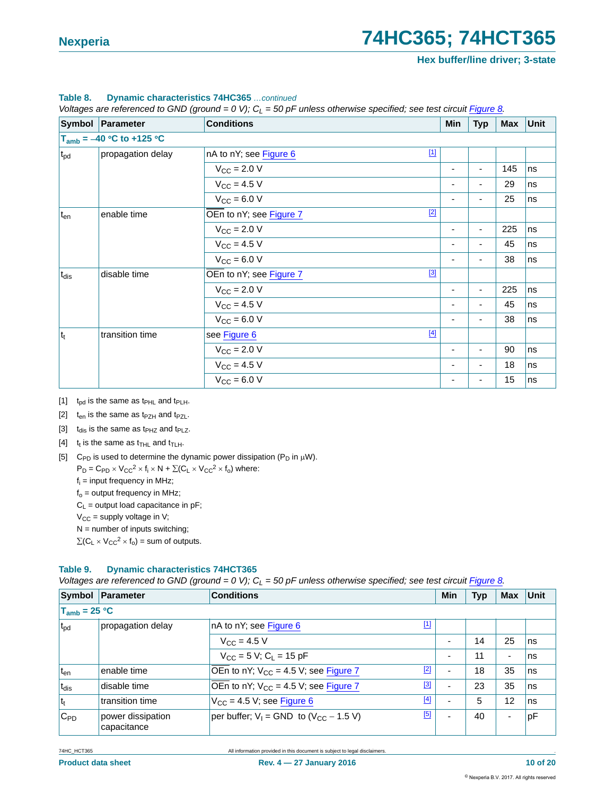|              | Symbol Parameter              | <b>Conditions</b>       |             | Min | <b>Typ</b>               | Max | <b>Unit</b> |
|--------------|-------------------------------|-------------------------|-------------|-----|--------------------------|-----|-------------|
|              | $T_{amb} = -40 °C$ to +125 °C |                         |             |     |                          |     |             |
| $t_{\rm pd}$ | propagation delay             | nA to nY; see Figure 6  | $\boxed{1}$ |     |                          |     |             |
|              |                               | $V_{\text{CC}} = 2.0 V$ |             | ٠   | $\overline{\phantom{0}}$ | 145 | ns          |
|              |                               | $V_{CC} = 4.5 V$        |             | -   |                          | 29  | ns          |
|              |                               | $V_{CC} = 6.0 V$        |             | ٠   | $\blacksquare$           | 25  | ns          |
| $t_{en}$     | enable time                   | OEn to nY; see Figure 7 | $[2]$       |     |                          |     |             |
|              |                               | $V_{\text{CC}} = 2.0 V$ |             | ٠   | $\overline{a}$           | 225 | ns          |
|              |                               | $V_{\text{CC}} = 4.5 V$ |             | ٠   | $\overline{\phantom{0}}$ | 45  | ns          |
|              |                               | $V_{CC} = 6.0 V$        |             | ٠   | ٠                        | 38  | ns          |
| $t_{dis}$    | disable time                  | OEn to nY; see Figure 7 | $[3]$       |     |                          |     |             |
|              |                               | $V_{\rm CC} = 2.0 V$    |             | ٠   | $\overline{\phantom{0}}$ | 225 | ns          |
|              |                               | $V_{CC} = 4.5 V$        |             | ٠   | $\blacksquare$           | 45  | ns          |
|              |                               | $V_{CC} = 6.0 V$        |             | ٠   | $\overline{\phantom{0}}$ | 38  | ns          |
| $ t_t$       | transition time               | see Figure 6            | $[4]$       |     |                          |     |             |
|              |                               | $V_{\text{CC}} = 2.0 V$ |             | ۰   |                          | 90  | ns          |
|              |                               | $V_{CC} = 4.5 V$        |             |     |                          | 18  | ns          |
|              |                               | $V_{CC} = 6.0 V$        |             | ٠   | $\blacksquare$           | 15  | ns          |

#### **Table 8. Dynamic characteristics 74HC365** *…continued*

*Voltages are referenced to GND (ground = 0 V); CL = 50 pF unless otherwise specified; see test circuit Figure 8.*

<span id="page-9-0"></span>[1]  $t_{pd}$  is the same as  $t_{PHL}$  and  $t_{PLH}$ .

<span id="page-9-1"></span>[2]  $t_{en}$  is the same as  $t_{PZH}$  and  $t_{PZL}$ .

<span id="page-9-2"></span>[3]  $t_{dis}$  is the same as  $t_{PHZ}$  and  $t_{PLZ}$ .

- <span id="page-9-3"></span>[4]  $t_t$  is the same as  $t_{THL}$  and  $t_{TLH}$ .
- <span id="page-9-4"></span>[5] C<sub>PD</sub> is used to determine the dynamic power dissipation ( $P_D$  in  $\mu$ W).

 $P_D = C_{PD} \times V_{CC}^2 \times f_i \times N + \Sigma (C_L \times V_{CC}^2 \times f_o)$  where:

 $f_i$  = input frequency in MHz;

 $f_0$  = output frequency in MHz;

 $C_L$  = output load capacitance in pF;

 $V_{CC}$  = supply voltage in V;

 $N =$  number of inputs switching;

 $\sum(C_L \times V_{CC}^2 \times f_0)$  = sum of outputs.

#### **Table 9. Dynamic characteristics 74HCT365**

*Voltages are referenced to GND (ground = 0 V); C<sub>L</sub> = 50 pF unless otherwise specified; see test circuit Figure 8<i>.* 

|                   | Symbol Parameter                 | <b>Conditions</b>                                    | Min                      | <b>Typ</b> | <b>Max</b>               | Unit |
|-------------------|----------------------------------|------------------------------------------------------|--------------------------|------------|--------------------------|------|
| $T_{amb}$ = 25 °C |                                  |                                                      |                          |            |                          |      |
| t <sub>pd</sub>   | propagation delay                | nA to nY; see Figure 6                               |                          |            |                          |      |
|                   |                                  | $V_{\rm CC} = 4.5 V$                                 | $\overline{\phantom{0}}$ | 14         | 25                       | ns   |
|                   |                                  | $V_{CC}$ = 5 V; C <sub>1</sub> = 15 pF               | $\overline{\phantom{0}}$ | 11         | ۰                        | ns   |
| t <sub>en</sub>   | enable time                      | $[2]$<br>OEn to nY; $V_{CC} = 4.5 V$ ; see Figure 7  | $\overline{\phantom{0}}$ | 18         | 35                       | ns   |
| t <sub>dis</sub>  | disable time                     | [3]<br>OEn to nY; $V_{CC} = 4.5 V$ ; see Figure 7    | $\overline{\phantom{0}}$ | 23         | 35                       | ns   |
| $ t_t $           | transition time                  | [4]<br>$V_{CC}$ = 4.5 V; see Figure 6                | $\overline{\phantom{0}}$ | 5          | 12                       | ns   |
| $C_{PD}$          | power dissipation<br>capacitance | [5]<br>per buffer; $V_1 =$ GND to $(V_{CC} - 1.5 V)$ | $\overline{\phantom{0}}$ | 40         | $\overline{\phantom{a}}$ | рF   |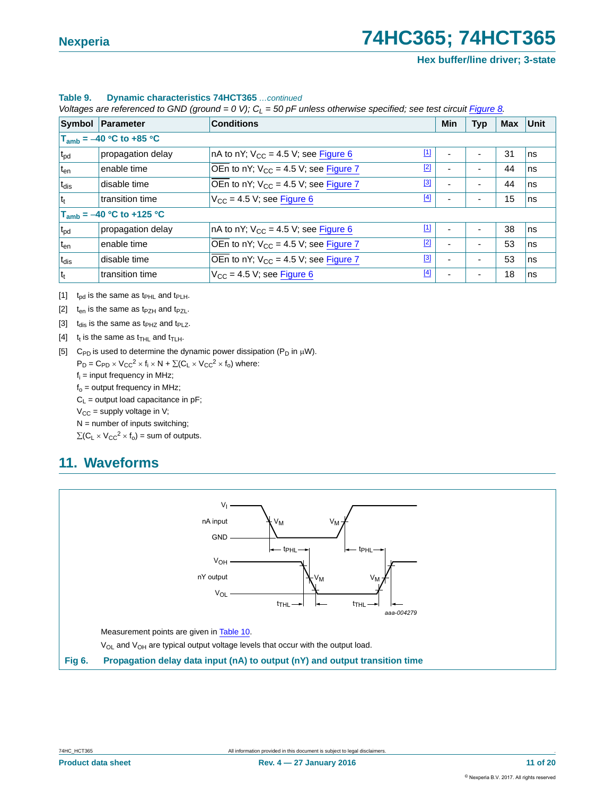**Hex buffer/line driver; 3-state**

#### **Table 9. Dynamic characteristics 74HCT365** *…continued*

*Voltages are referenced to GND (ground = 0 V); C<sub>L</sub> = 50 pF unless otherwise specified; see test circuit Figure 8.* 

| Symbol                        | Parameter                    | <b>Conditions</b>                           |                                                                                                                                                                                                                                                                                            | Min                      | <b>Typ</b>     | <b>Max</b> | Unit |
|-------------------------------|------------------------------|---------------------------------------------|--------------------------------------------------------------------------------------------------------------------------------------------------------------------------------------------------------------------------------------------------------------------------------------------|--------------------------|----------------|------------|------|
|                               | $T_{amb} = -40$ °C to +85 °C |                                             |                                                                                                                                                                                                                                                                                            |                          |                |            |      |
| t <sub>pd</sub>               | propagation delay            | In A to nY; $V_{CC} = 4.5 V$ ; see Figure 6 | $[1] % \centering \includegraphics[width=0.9\columnwidth]{figures/fig_10.pdf} \caption{The figure shows the number of times on the right, and the number of times on the right, respectively. The left and right is the number of times on the right, respectively.} \label{fig:fig:time}$ |                          | ٠              | 31         | ns   |
| t <sub>en</sub>               | enable time                  | OEn to nY; $V_{CC}$ = 4.5 V; see Figure 7   | $[2]$                                                                                                                                                                                                                                                                                      |                          | ٠              | 44         | ns   |
| $t_{dis}$                     | disable time                 | OEn to nY; $V_{CC} = 4.5$ V; see Figure 7   | $[3]$                                                                                                                                                                                                                                                                                      | $\overline{\phantom{0}}$ | ٠              | 44         | ns   |
| $ t_t $                       | transition time              | $V_{CC}$ = 4.5 V; see Figure 6              | $[4]$                                                                                                                                                                                                                                                                                      |                          | ۰              | 15         | ns   |
| $T_{amb} = -40 °C$ to +125 °C |                              |                                             |                                                                                                                                                                                                                                                                                            |                          |                |            |      |
| t <sub>pd</sub>               | propagation delay            | In A to nY; $V_{CC} = 4.5 V$ ; see Figure 6 | $\mathbf{1}$                                                                                                                                                                                                                                                                               |                          | $\blacksquare$ | 38         | ns   |
| $t_{en}$                      | enable time                  | OEn to nY; $V_{CC} = 4.5 V$ ; see Figure 7  | $[2]$                                                                                                                                                                                                                                                                                      |                          | ٠              | 53         | ns   |
| t <sub>dis</sub>              | disable time                 | OEn to nY; $V_{CC} = 4.5$ V; see Figure 7   | $[3]$                                                                                                                                                                                                                                                                                      |                          | ٠              | 53         | ns   |
| $ t_t $                       | transition time              | $V_{CC}$ = 4.5 V; see Figure 6              | $[4]$                                                                                                                                                                                                                                                                                      |                          | ٠              | 18         | ns   |

<span id="page-10-1"></span>[1]  $t_{pd}$  is the same as  $t_{PHL}$  and  $t_{PLH}$ .

- <span id="page-10-2"></span>[2]  $t_{en}$  is the same as t<sub>PZH</sub> and t<sub>PZL</sub>.
- <span id="page-10-3"></span>[3]  $t_{dis}$  is the same as  $t_{PHZ}$  and  $t_{PLZ}$ .
- <span id="page-10-4"></span>[4]  $t_t$  is the same as  $t_{\text{THL}}$  and  $t_{\text{TLH}}$ .

<span id="page-10-5"></span>[5] C<sub>PD</sub> is used to determine the dynamic power dissipation ( $P_D$  in  $\mu$ W).

 $P_D = C_{PD} \times V_{CC}^2 \times f_i \times N + \Sigma (C_L \times V_{CC}^2 \times f_o)$  where:

 $f_i$  = input frequency in MHz;

 $f_0$  = output frequency in MHz;

 $C_L$  = output load capacitance in pF;

 $V_{CC}$  = supply voltage in V;

 $N =$  number of inputs switching;

 $\sum(C_L \times V_{CC}^2 \times f_0)$  = sum of outputs.

### <span id="page-10-6"></span>**11. Waveforms**

<span id="page-10-0"></span>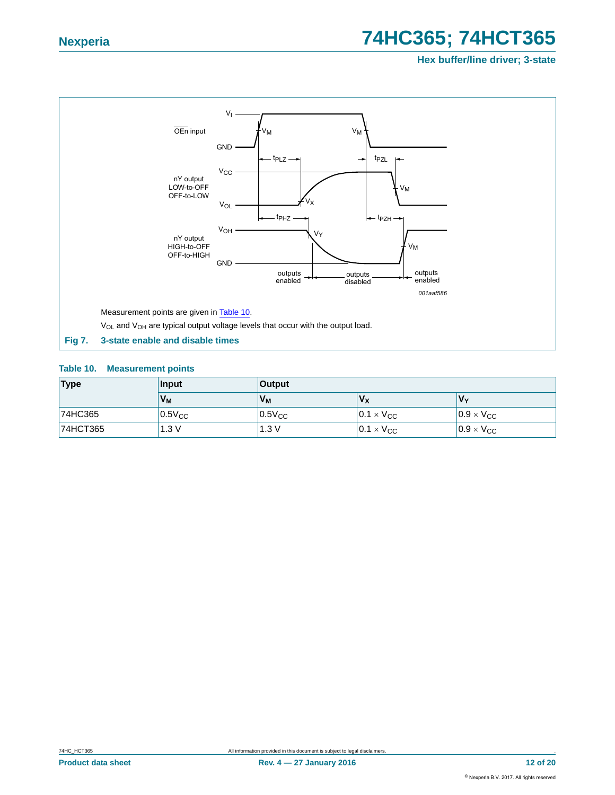**Hex buffer/line driver; 3-state**



#### <span id="page-11-1"></span><span id="page-11-0"></span>**Table 10. Measurement points**

| <b>Type</b> | <b>Input</b> | <b>Output</b> |                     |                     |
|-------------|--------------|---------------|---------------------|---------------------|
|             | $V_M$        | $V_M$         | V <sub>X</sub>      | V۰                  |
| 74HC365     | $0.5V_{CC}$  | $0.5V_{CC}$   | $0.1 \times V_{CC}$ | $0.9 \times V_{CC}$ |
| 74HCT365    | 1.3V         | 1.3V          | $0.1 \times V_{CC}$ | $0.9 \times V_{CC}$ |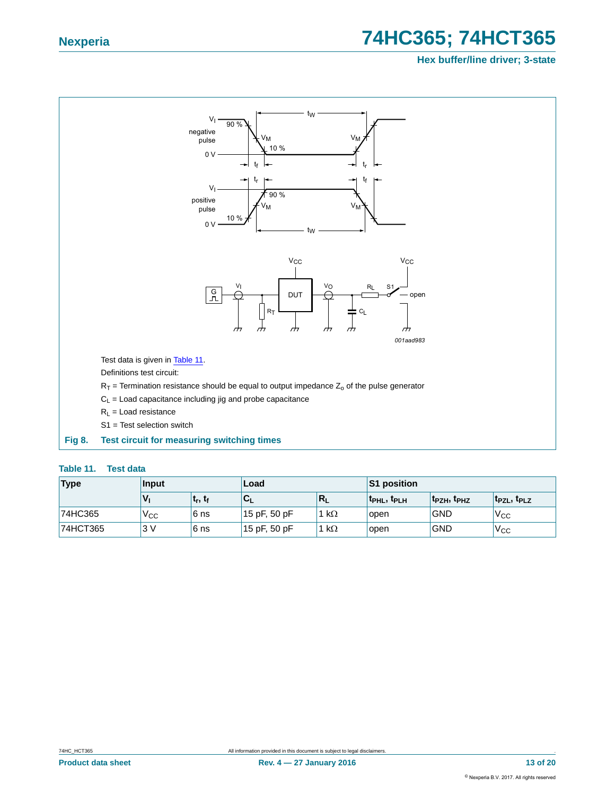#### **Hex buffer/line driver; 3-state**



#### <span id="page-12-1"></span><span id="page-12-0"></span>**Table 11. Test data**

| Type     | Input        |             | Load         |              | <b>S1 position</b>                  |                                     |                                     |
|----------|--------------|-------------|--------------|--------------|-------------------------------------|-------------------------------------|-------------------------------------|
|          |              | $ t_r, t_f$ | ับเ          | $R_L$        | t <sub>PHL</sub> , t <sub>PLH</sub> | t <sub>PZH</sub> , t <sub>PHZ</sub> | t <sub>PZL</sub> , t <sub>PLZ</sub> |
| 74HC365  | $V_{\rm CC}$ | 6 ns        | 15 pF, 50 pF | 1 k $\Omega$ | open                                | <b>GND</b>                          | 'V <sub>CC</sub>                    |
| 74HCT365 | 3V           | 6 ns        | 15 pF, 50 pF | 1 k $\Omega$ | open                                | <b>GND</b>                          | 'V <sub>CC</sub>                    |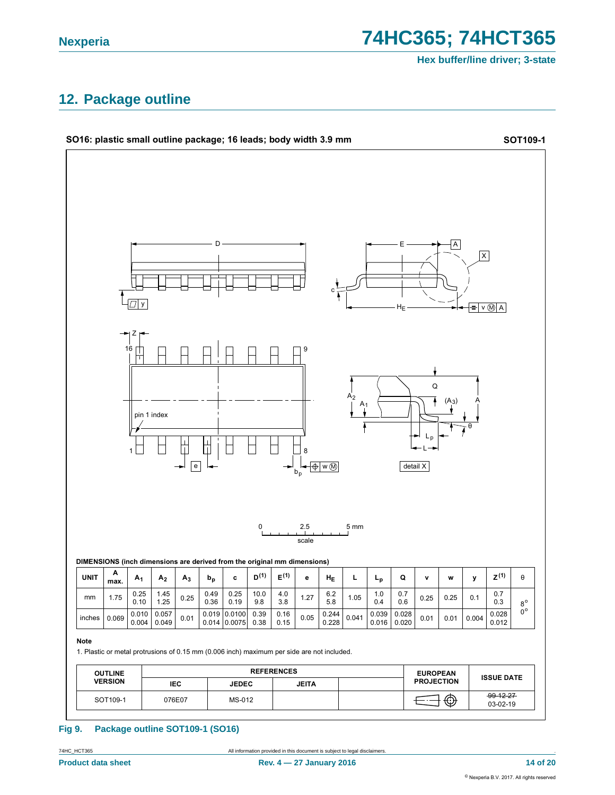74HC365; 74HCT365

Hex buffer/line driver; 3-state

### <span id="page-13-0"></span>12. Package outline



#### **Fig 9.** Package outline SOT109-1 (SO16)

74HC\_HCT365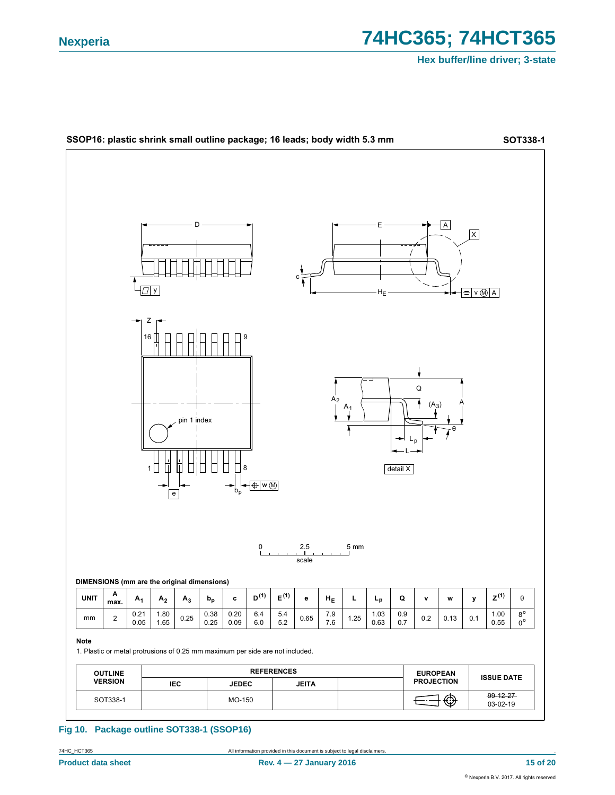

#### Fig 10. Package outline SOT338-1 (SSOP16)

74HC\_HCT365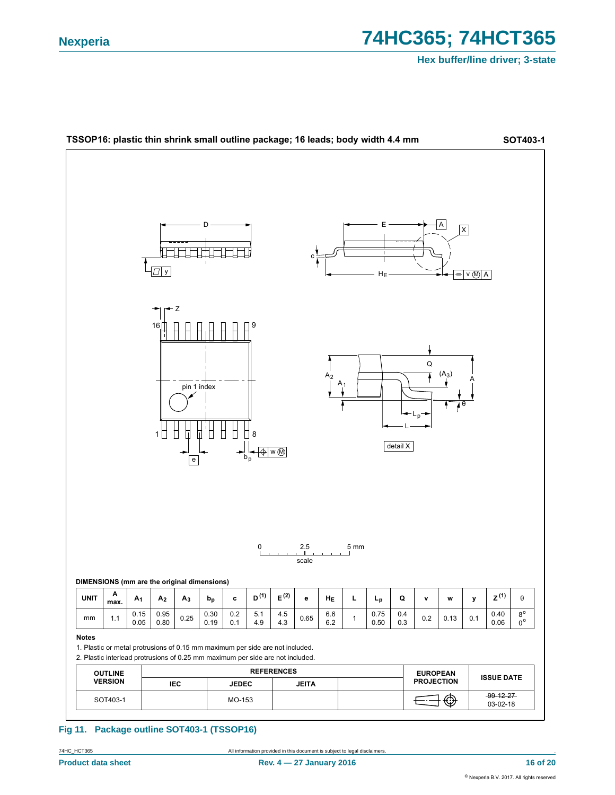

#### Fig 11. Package outline SOT403-1 (TSSOP16)

74HC\_HCT365

All information provided in this document is subject to legal disclaimers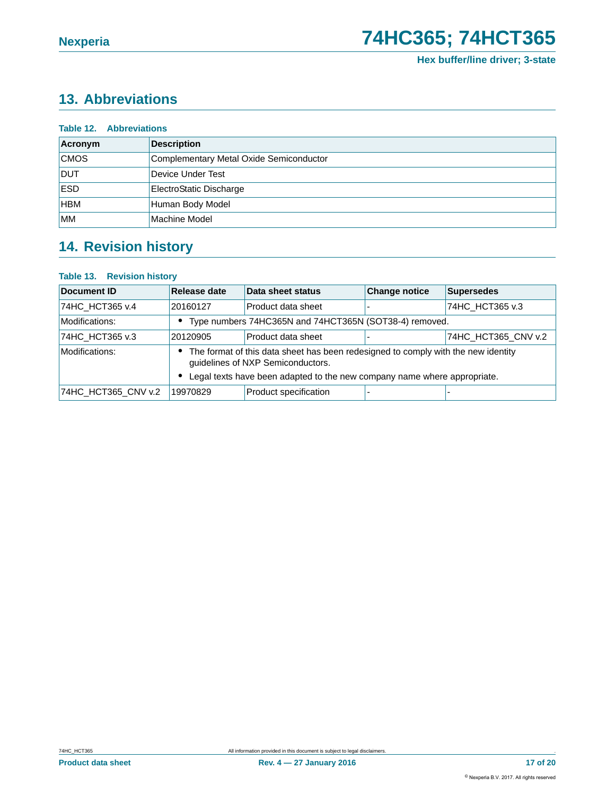## <span id="page-16-0"></span>**13. Abbreviations**

| <b>Table 12. Abbreviations</b> |                                         |  |  |  |  |
|--------------------------------|-----------------------------------------|--|--|--|--|
| Acronym                        | <b>Description</b>                      |  |  |  |  |
| <b>CMOS</b>                    | Complementary Metal Oxide Semiconductor |  |  |  |  |
| <b>DUT</b>                     | Device Under Test                       |  |  |  |  |
| <b>ESD</b>                     | ElectroStatic Discharge                 |  |  |  |  |
| <b>HBM</b>                     | Human Body Model                        |  |  |  |  |
| <b>MM</b>                      | Machine Model                           |  |  |  |  |

## <span id="page-16-1"></span>**14. Revision history**

#### **Table 13. Revision history**

| Document ID         | Release date                                                                                                           | Data sheet status                                      | <b>Change notice</b> | <b>Supersedes</b>   |
|---------------------|------------------------------------------------------------------------------------------------------------------------|--------------------------------------------------------|----------------------|---------------------|
| 74HC HCT365 v.4     | 20160127                                                                                                               | Product data sheet                                     |                      | 74HC_HCT365 v.3     |
| Modifications:      |                                                                                                                        | Type numbers 74HC365N and 74HCT365N (SOT38-4) removed. |                      |                     |
| 74HC HCT365 v.3     | 20120905                                                                                                               | Product data sheet                                     |                      | 74HC HCT365 CNV v.2 |
| Modifications:      | The format of this data sheet has been redesigned to comply with the new identity<br>guidelines of NXP Semiconductors. |                                                        |                      |                     |
|                     | Legal texts have been adapted to the new company name where appropriate.                                               |                                                        |                      |                     |
| 74HC HCT365 CNV v.2 | 19970829                                                                                                               | Product specification                                  |                      |                     |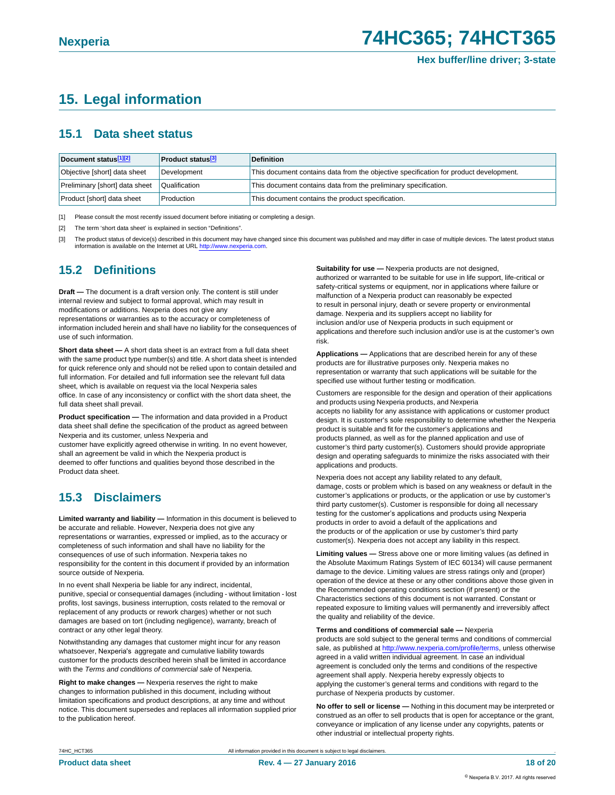## <span id="page-17-3"></span>**15. Legal information**

### <span id="page-17-4"></span>**15.1 Data sheet status**

| Document status[1][2]          | <b>Product status</b> <sup>[3]</sup> | <b>Definition</b>                                                                     |
|--------------------------------|--------------------------------------|---------------------------------------------------------------------------------------|
| Objective [short] data sheet   | Development                          | This document contains data from the objective specification for product development. |
| Preliminary [short] data sheet | Qualification                        | This document contains data from the preliminary specification.                       |
| Product [short] data sheet     | Production                           | This document contains the product specification.                                     |

<span id="page-17-0"></span>[1] Please consult the most recently issued document before initiating or completing a design.

- <span id="page-17-1"></span>[2] The term 'short data sheet' is explained in section "Definitions".
- <span id="page-17-2"></span>[3] The product status of device(s) described in this document may have changed since this document was published and may differ in case of multiple devices. The latest product status information is available on the Internet at URL [http://www.nexperia](http://www.nexperia.com).com.

### <span id="page-17-5"></span>**15.2 Definitions**

**Draft —** The document is a draft version only. The content is still under internal review and subject to formal approval, which may result in modifications or additions. Nexperia does not give any representations or warranties as to the accuracy or completeness of information included herein and shall have no liability for the consequences of use of such information.

**Short data sheet —** A short data sheet is an extract from a full data sheet with the same product type number(s) and title. A short data sheet is intended for quick reference only and should not be relied upon to contain detailed and full information. For detailed and full information see the relevant full data sheet, which is available on request via the local Nexperia sales office. In case of any inconsistency or conflict with the short data sheet, the full data sheet shall prevail.

**Product specification —** The information and data provided in a Product data sheet shall define the specification of the product as agreed between Nexperia and its customer, unless Nexperia and

customer have explicitly agreed otherwise in writing. In no event however, shall an agreement be valid in which the Nexperia product is deemed to offer functions and qualities beyond those described in the Product data sheet.

### <span id="page-17-6"></span>**15.3 Disclaimers**

**Limited warranty and liability —** Information in this document is believed to be accurate and reliable. However, Nexperia does not give any representations or warranties, expressed or implied, as to the accuracy or completeness of such information and shall have no liability for the consequences of use of such information. Nexperia takes no responsibility for the content in this document if provided by an information source outside of Nexperia.

In no event shall Nexperia be liable for any indirect, incidental, punitive, special or consequential damages (including - without limitation - lost profits, lost savings, business interruption, costs related to the removal or replacement of any products or rework charges) whether or not such damages are based on tort (including negligence), warranty, breach of contract or any other legal theory.

Notwithstanding any damages that customer might incur for any reason whatsoever, Nexperia's aggregate and cumulative liability towards customer for the products described herein shall be limited in accordance with the *Terms and conditions of commercial sale* of Nexperia.

**Right to make changes —** Nexperia reserves the right to make changes to information published in this document, including without limitation specifications and product descriptions, at any time and without notice. This document supersedes and replaces all information supplied prior to the publication hereof.

**Suitability for use —** Nexperia products are not designed, authorized or warranted to be suitable for use in life support, life-critical or safety-critical systems or equipment, nor in applications where failure or malfunction of a Nexperia product can reasonably be expected to result in personal injury, death or severe property or environmental damage. Nexperia and its suppliers accept no liability for inclusion and/or use of Nexperia products in such equipment or applications and therefore such inclusion and/or use is at the customer's own risk.

**Applications —** Applications that are described herein for any of these products are for illustrative purposes only. Nexperia makes no representation or warranty that such applications will be suitable for the specified use without further testing or modification.

Customers are responsible for the design and operation of their applications and products using Nexperia products, and Nexperia accepts no liability for any assistance with applications or customer product design. It is customer's sole responsibility to determine whether the Nexperia product is suitable and fit for the customer's applications and products planned, as well as for the planned application and use of customer's third party customer(s). Customers should provide appropriate design and operating safeguards to minimize the risks associated with their applications and products.

Nexperia does not accept any liability related to any default, damage, costs or problem which is based on any weakness or default in the customer's applications or products, or the application or use by customer's third party customer(s). Customer is responsible for doing all necessary testing for the customer's applications and products using Nexperia products in order to avoid a default of the applications and the products or of the application or use by customer's third party customer(s). Nexperia does not accept any liability in this respect.

**Limiting values —** Stress above one or more limiting values (as defined in the Absolute Maximum Ratings System of IEC 60134) will cause permanent damage to the device. Limiting values are stress ratings only and (proper) operation of the device at these or any other conditions above those given in the Recommended operating conditions section (if present) or the Characteristics sections of this document is not warranted. Constant or repeated exposure to limiting values will permanently and irreversibly affect the quality and reliability of the device.

#### **Terms and conditions of commercial sale —** Nexperia

products are sold subject to the general terms and conditions of commercial sale, as published at [http://www.nexperia.com/profile/te](http://www.nexperia.com/profile/terms)rms, unless otherwise agreed in a valid written individual agreement. In case an individua agreement is concluded only the terms and conditions of the respective agreement shall apply. Nexperia hereby expressly objects to applying the customer's general terms and conditions with regard to the purchase of Nexperia products by customer.

**No offer to sell or license —** Nothing in this document may be interpreted or construed as an offer to sell products that is open for acceptance or the grant, conveyance or implication of any license under any copyrights, patents or other industrial or intellectual property rights.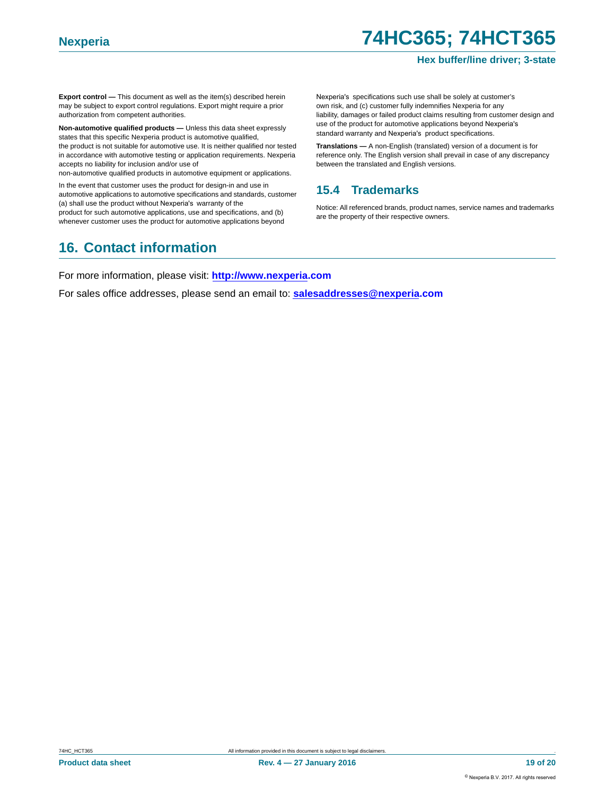#### **Hex buffer/line driver; 3-state**

**Export control —** This document as well as the item(s) described herein may be subject to export control regulations. Export might require a prior authorization from competent authorities.

**Non-automotive qualified products —** Unless this data sheet expressly states that this specific Nexperia product is automotive qualified, the product is not suitable for automotive use. It is neither qualified nor tested in accordance with automotive testing or application requirements. Nexperia accepts no liability for inclusion and/or use of

non-automotive qualified products in automotive equipment or applications.

In the event that customer uses the product for design-in and use in automotive applications to automotive specifications and standards, customer (a) shall use the product without Nexperia's warranty of the product for such automotive applications, use and specifications, and (b) whenever customer uses the product for automotive applications beyond

## <span id="page-18-1"></span>**16. Contact information**

Nexperia's specifications such use shall be solely at customer's own risk, and (c) customer fully indemnifies Nexperia for any liability, damages or failed product claims resulting from customer design and use of the product for automotive applications beyond Nexperia's standard warranty and Nexperia's product specifications.

**Translations —** A non-English (translated) version of a document is for reference only. The English version shall prevail in case of any discrepancy between the translated and English versions.

### <span id="page-18-0"></span>**15.4 Trademarks**

Notice: All referenced brands, product names, service names and trademarks are the property of their respective owners.

For more information, please visit: **http://www.nexperia.com**

For sales office addresses, please send an email to: **salesaddresses@nexperia.com**